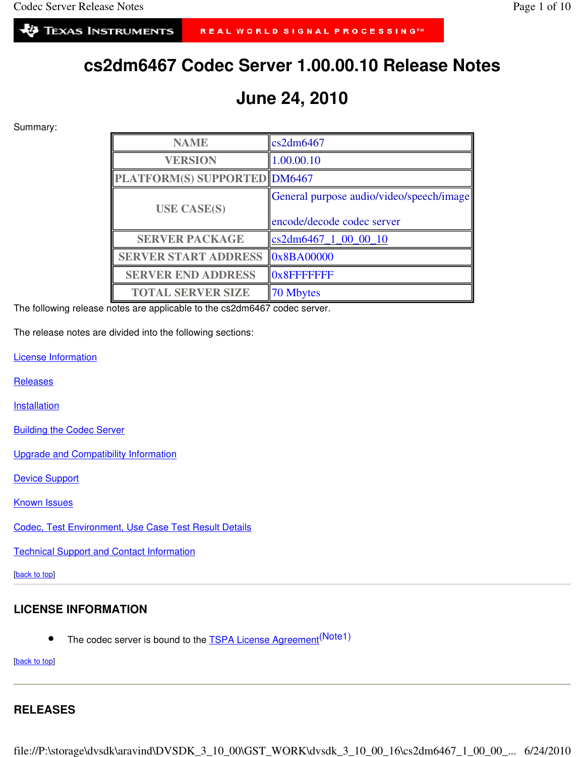# **cs2dm6467 Codec Server 1.00.00.10 Release Notes**

# **June 24, 2010**

Summary:

| <b>NAME</b>                         | cs2dm6467                                |
|-------------------------------------|------------------------------------------|
| <b>VERSION</b>                      | 1.00.00.10                               |
| <b>PLATFORM(S) SUPPORTED DM6467</b> |                                          |
| <b>USE CASE(S)</b>                  | General purpose audio/video/speech/image |
|                                     | encode/decode codec server               |
| <b>SERVER PACKAGE</b>               | cs2dm6467_1_00_00_10                     |
| <b>SERVER START ADDRESS</b>         | $\vert 0x8BA00000$                       |
| <b>SERVER END ADDRESS</b>           | <b>Ox8FFFFFFF</b>                        |
| <b>TOTAL SERVER SIZE</b>            | 70 Mbytes                                |

The following release notes are applicable to the cs2dm6467 codec server.

The release notes are divided into the following sections:

License Information

**Releases** 

**Installation** 

Building the Codec Server

Upgrade and Compatibility Information

Device Support

Known Issues

Codec, Test Environment, Use Case Test Result Details

Technical Support and Contact Information

[back to top]

# **LICENSE INFORMATION**

• The codec server is bound to the **TSPA License Agreement**<sup>(Note1)</sup>

[back to top]

# **RELEASES**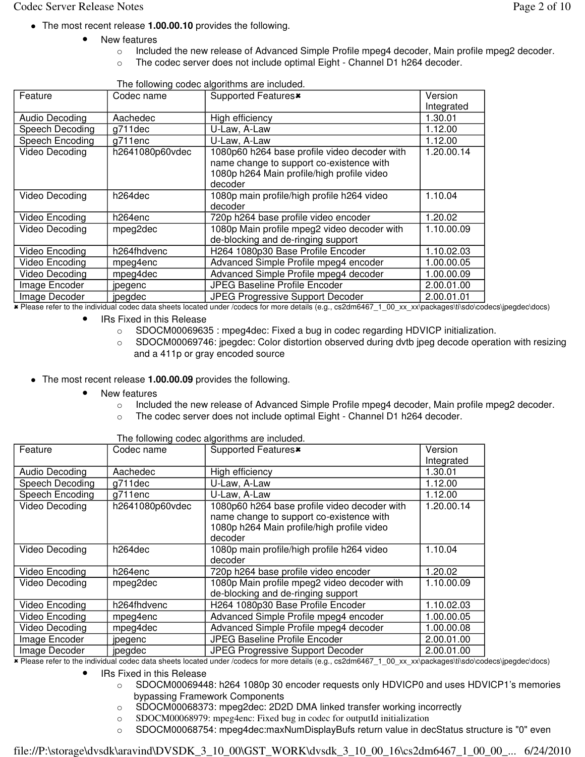- The most recent release **1.00.00.10** provides the following.
	- New features
		- o Included the new release of Advanced Simple Profile mpeg4 decoder, Main profile mpeg2 decoder.
		- o The codec server does not include optimal Eight Channel D1 h264 decoder.

| Feature         | Codec name      | Supported Features <sup>*</sup>                                                                                                        | Version    |
|-----------------|-----------------|----------------------------------------------------------------------------------------------------------------------------------------|------------|
|                 |                 |                                                                                                                                        | Integrated |
| Audio Decoding  | Aachedec        | High efficiency                                                                                                                        | 1.30.01    |
| Speech Decoding | g711dec         | U-Law, A-Law                                                                                                                           | 1.12.00    |
| Speech Encoding | g711enc         | U-Law, A-Law                                                                                                                           | 1.12.00    |
| Video Decoding  | h2641080p60vdec | 1080p60 h264 base profile video decoder with<br>name change to support co-existence with<br>1080p h264 Main profile/high profile video | 1.20.00.14 |
|                 |                 | decoder                                                                                                                                |            |
| Video Decoding  | h264dec         | 1080p main profile/high profile h264 video<br>decoder                                                                                  | 1.10.04    |
| Video Encoding  | h264enc         | 720p h264 base profile video encoder                                                                                                   | 1.20.02    |
| Video Decoding  | mpeg2dec        | 1080p Main profile mpeg2 video decoder with<br>de-blocking and de-ringing support                                                      | 1.10.00.09 |
| Video Encoding  | h264fhdvenc     | H264 1080p30 Base Profile Encoder                                                                                                      | 1.10.02.03 |
| Video Encoding  | mpeg4enc        | Advanced Simple Profile mpeg4 encoder                                                                                                  | 1.00.00.05 |
| Video Decoding  | mpeg4dec        | Advanced Simple Profile mpeg4 decoder                                                                                                  | 1.00.00.09 |
| Image Encoder   | jpegenc         | <b>JPEG Baseline Profile Encoder</b>                                                                                                   | 2.00.01.00 |
| Image Decoder   | jpegdec         | JPEG Progressive Support Decoder                                                                                                       | 2.00.01.01 |

The following codec algorithms are included.

- Please refer to the individual codec data sheets located under /codecs for more details (e.g., cs2dm6467\_1\_00\_xx\_xx\packages\ti\sdo\codecs\jpegdec\docs)

IRs Fixed in this Release

- o SDOCM00069635 : mpeg4dec: Fixed a bug in codec regarding HDVICP initialization.
- $\circ$  SDOCM00069746: jpegdec: Color distortion observed during dvtb jpeg decode operation with resizing and a 411p or gray encoded source

The most recent release **1.00.00.09** provides the following.

- New features
	- o Included the new release of Advanced Simple Profile mpeg4 decoder, Main profile mpeg2 decoder.
	- $\circ$  The codec server does not include optimal Eight Channel D1 h264 decoder.

|                 | The following couce algorithms are included. |                                              |            |  |  |
|-----------------|----------------------------------------------|----------------------------------------------|------------|--|--|
| Feature         | Codec name                                   | Supported Features <sup>*</sup>              | Version    |  |  |
|                 |                                              |                                              | Integrated |  |  |
| Audio Decoding  | Aachedec                                     |                                              | 1.30.01    |  |  |
|                 |                                              | High efficiency                              |            |  |  |
| Speech Decoding | g711dec                                      | U-Law, A-Law                                 | 1.12.00    |  |  |
| Speech Encoding | g711enc                                      | U-Law, A-Law                                 | 1.12.00    |  |  |
| Video Decoding  | h2641080p60vdec                              | 1080p60 h264 base profile video decoder with | 1.20.00.14 |  |  |
|                 |                                              | name change to support co-existence with     |            |  |  |
|                 |                                              | 1080p h264 Main profile/high profile video   |            |  |  |
|                 |                                              | decoder                                      |            |  |  |
| Video Decoding  | h264dec                                      | 1080p main profile/high profile h264 video   | 1.10.04    |  |  |
|                 |                                              | decoder                                      |            |  |  |
| Video Encoding  | h264enc                                      | 720p h264 base profile video encoder         | 1.20.02    |  |  |
| Video Decoding  | mpeg2dec                                     | 1080p Main profile mpeg2 video decoder with  | 1.10.00.09 |  |  |
|                 |                                              | de-blocking and de-ringing support           |            |  |  |
| Video Encoding  | h264fhdvenc                                  | H264 1080p30 Base Profile Encoder            | 1.10.02.03 |  |  |
| Video Encoding  | mpeg4enc                                     | Advanced Simple Profile mpeg4 encoder        | 1.00.00.05 |  |  |
| Video Decoding  | mpeg4dec                                     | Advanced Simple Profile mpeg4 decoder        | 1.00.00.08 |  |  |
| Image Encoder   | jpegenc                                      | JPEG Baseline Profile Encoder                | 2.00.01.00 |  |  |
| Image Decoder   | jpegdec                                      | JPEG Progressive Support Decoder             | 2.00.01.00 |  |  |
|                 |                                              |                                              |            |  |  |

The following codec algorithms are included.

- Please refer to the individual codec data sheets located under /codecs for more details (e.g., cs2dm6467\_1\_00\_xx\_xx\packages\ti\sdo\codecs\jpegdec\docs)

- IRs Fixed in this Release
	- o SDOCM00069448: h264 1080p 30 encoder requests only HDVICP0 and uses HDVICP1's memories bypassing Framework Components
	- o SDOCM00068373: mpeg2dec: 2D2D DMA linked transfer working incorrectly
	- o SDOCM00068979: mpeg4enc: Fixed bug in codec for outputId initialization
	- o SDOCM00068754: mpeg4dec:maxNumDisplayBufs return value in decStatus structure is "0" even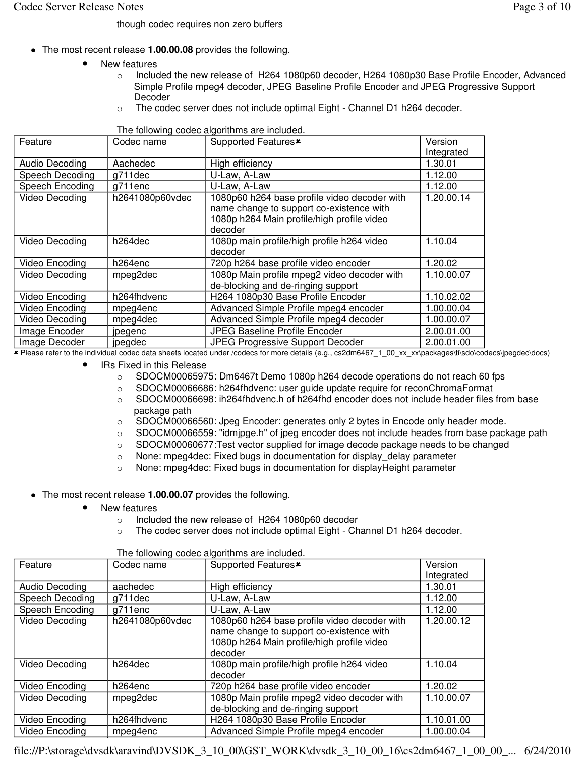though codec requires non zero buffers

- The most recent release **1.00.00.08** provides the following.
	- New features
		- o Included the new release of H264 1080p60 decoder, H264 1080p30 Base Profile Encoder, Advanced Simple Profile mpeg4 decoder, JPEG Baseline Profile Encoder and JPEG Progressive Support Decoder
		- $\circ$  The codec server does not include optimal Eight Channel D1 h264 decoder.

|                 |                 | nno ronoming oodoo digonumiio di'o molddod.  |            |
|-----------------|-----------------|----------------------------------------------|------------|
| Feature         | Codec name      | Supported Features <sup>*</sup>              | Version    |
|                 |                 |                                              | Integrated |
| Audio Decoding  | Aachedec        | High efficiency                              | 1.30.01    |
| Speech Decoding | g711dec         | U-Law, A-Law                                 | 1.12.00    |
| Speech Encoding | g711enc         | U-Law, A-Law                                 | 1.12.00    |
| Video Decoding  | h2641080p60vdec | 1080p60 h264 base profile video decoder with | 1.20.00.14 |
|                 |                 | name change to support co-existence with     |            |
|                 |                 | 1080p h264 Main profile/high profile video   |            |
|                 |                 | decoder                                      |            |
| Video Decoding  | h264dec         | 1080p main profile/high profile h264 video   | 1.10.04    |
|                 |                 | decoder                                      |            |
| Video Encoding  | h264enc         | 720p h264 base profile video encoder         | 1.20.02    |
| Video Decoding  | mpeg2dec        | 1080p Main profile mpeg2 video decoder with  | 1.10.00.07 |
|                 |                 | de-blocking and de-ringing support           |            |
| Video Encoding  | h264fhdvenc     | H264 1080p30 Base Profile Encoder            | 1.10.02.02 |
| Video Encoding  | mpeg4enc        | Advanced Simple Profile mpeg4 encoder        | 1.00.00.04 |
| Video Decoding  | mpeg4dec        | Advanced Simple Profile mpeg4 decoder        | 1.00.00.07 |
| Image Encoder   | jpegenc         | <b>JPEG Baseline Profile Encoder</b>         | 2.00.01.00 |
| Image Decoder   | jpegdec         | <b>JPEG Progressive Support Decoder</b>      | 2.00.01.00 |

The following codec algorithms are included.

- Please refer to the individual codec data sheets located under /codecs for more details (e.g., cs2dm6467\_1\_00\_xx\_xx\packages\ti\sdo\codecs\jpegdec\docs)

• IRs Fixed in this Release

- o SDOCM00065975: Dm6467t Demo 1080p h264 decode operations do not reach 60 fps
- o SDOCM00066686: h264fhdvenc: user guide update require for reconChromaFormat
- o SDOCM00066698: ih264fhdvenc.h of h264fhd encoder does not include header files from base package path
- o SDOCM00066560: Jpeg Encoder: generates only 2 bytes in Encode only header mode.
- $\circ$  SDOCM00066559: "idmipge.h" of jpeg encoder does not include heades from base package path
- o SDOCM00060677:Test vector supplied for image decode package needs to be changed
- o None: mpeg4dec: Fixed bugs in documentation for display\_delay parameter
- o None: mpeg4dec: Fixed bugs in documentation for displayHeight parameter
- The most recent release **1.00.00.07** provides the following.
	- New features
		- o Included the new release of H264 1080p60 decoder
		- o The codec server does not include optimal Eight Channel D1 h264 decoder.

| Feature         | Codec name          | Supported Features <sup>x</sup>                                                                                                                   | Version<br>Integrated |
|-----------------|---------------------|---------------------------------------------------------------------------------------------------------------------------------------------------|-----------------------|
| Audio Decoding  | aachedec            | High efficiency                                                                                                                                   | 1.30.01               |
| Speech Decoding | g711dec             | U-Law, A-Law                                                                                                                                      | 1.12.00               |
| Speech Encoding | g711enc             | U-Law, A-Law                                                                                                                                      | 1.12.00               |
| Video Decoding  | h2641080p60vdec     | 1080p60 h264 base profile video decoder with<br>name change to support co-existence with<br>1080p h264 Main profile/high profile video<br>decoder | 1.20.00.12            |
| Video Decoding  | h264dec             | 1080p main profile/high profile h264 video<br>decoder                                                                                             | 1.10.04               |
| Video Encoding  | h <sub>264enc</sub> | 720p h264 base profile video encoder                                                                                                              | 1.20.02               |
| Video Decoding  | mpeg2dec            | 1080p Main profile mpeg2 video decoder with<br>de-blocking and de-ringing support                                                                 | 1.10.00.07            |
| Video Encoding  | h264fhdvenc         | H264 1080p30 Base Profile Encoder                                                                                                                 | 1.10.01.00            |
| Video Encoding  | mpeg4enc            | Advanced Simple Profile mpeg4 encoder                                                                                                             | 1.00.00.04            |

The following codec algorithms are included.

file://P:\storage\dvsdk\aravind\DVSDK\_3\_10\_00\GST\_WORK\dvsdk\_3\_10\_00\_16\cs2dm6467\_1\_00\_00\_... 6/24/2010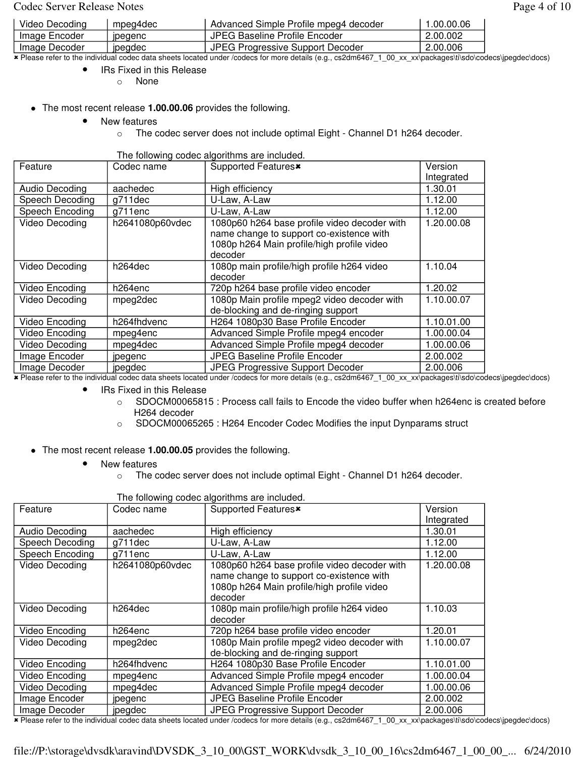#### Codec Server Release Notes **Page 4 of 10**

| Video Decoding | mpeg4dec       | Advanced Simple Profile mpeg4 decoder | 1.00.00.06 |
|----------------|----------------|---------------------------------------|------------|
| Image Encoder  | <b>IDegenc</b> | JPEG Baseline Profile Encoder         | 2.00.002   |
| Image Decoder  | <b>pegdec</b>  | JPEG Progressive Support Decoder      | 2.00.006   |

- Please refer to the individual codec data sheets located under /codecs for more details (e.g., cs2dm6467\_1\_00\_xx\_xx\packages\ti\sdo\codecs\jpegdec\docs)

IRs Fixed in this Release

o None

- The most recent release **1.00.00.06** provides the following.
	- New features
		- o The codec server does not include optimal Eight Channel D1 h264 decoder.

| The following codec algorithms are included. |  |  |
|----------------------------------------------|--|--|
|                                              |  |  |

| Feature         | Codec name      | Supported Features <sup>*</sup>              | Version    |
|-----------------|-----------------|----------------------------------------------|------------|
|                 |                 |                                              | Integrated |
| Audio Decoding  | aachedec        | High efficiency                              | 1.30.01    |
| Speech Decoding | g711dec         | U-Law, A-Law                                 | 1.12.00    |
| Speech Encoding | g711enc         | U-Law, A-Law                                 | 1.12.00    |
| Video Decoding  | h2641080p60vdec | 1080p60 h264 base profile video decoder with | 1.20.00.08 |
|                 |                 | name change to support co-existence with     |            |
|                 |                 | 1080p h264 Main profile/high profile video   |            |
|                 |                 | decoder                                      |            |
| Video Decoding  | h264dec         | 1080p main profile/high profile h264 video   | 1.10.04    |
|                 |                 | decoder                                      |            |
| Video Encoding  | h264enc         | 720p h264 base profile video encoder         | 1.20.02    |
| Video Decoding  | mpeg2dec        | 1080p Main profile mpeg2 video decoder with  | 1.10.00.07 |
|                 |                 | de-blocking and de-ringing support           |            |
| Video Encoding  | h264fhdvenc     | H264 1080p30 Base Profile Encoder            | 1.10.01.00 |
| Video Encoding  | mpeg4enc        | Advanced Simple Profile mpeg4 encoder        | 1.00.00.04 |
| Video Decoding  | mpeg4dec        | Advanced Simple Profile mpeg4 decoder        | 1.00.00.06 |
| Image Encoder   | jpegenc         | <b>JPEG Baseline Profile Encoder</b>         | 2.00.002   |
| Image Decoder   | jpegdec         | <b>JPEG Progressive Support Decoder</b>      | 2.00.006   |

- Please refer to the individual codec data sheets located under /codecs for more details (e.g., cs2dm6467\_1\_00\_xx\_xx\packages\ti\sdo\codecs\jpegdec\docs)

IRs Fixed in this Release

- $\circ$  SDOCM00065815 : Process call fails to Encode the video buffer when h264enc is created before H264 decoder
- o SDOCM00065265 : H264 Encoder Codec Modifies the input Dynparams struct
- The most recent release **1.00.00.05** provides the following.
	- New features
		- o The codec server does not include optimal Eight Channel D1 h264 decoder.

| The following codec algorithms are included. |                 |                                              |            |  |
|----------------------------------------------|-----------------|----------------------------------------------|------------|--|
| Feature                                      | Codec name      | Supported Features <sup>x</sup>              | Version    |  |
|                                              |                 |                                              | Integrated |  |
| Audio Decoding                               | aachedec        | High efficiency                              | 1.30.01    |  |
| Speech Decoding                              | g711dec         | U-Law, A-Law                                 | 1.12.00    |  |
| Speech Encoding                              | g711enc         | U-Law, A-Law                                 | 1.12.00    |  |
| Video Decoding                               | h2641080p60vdec | 1080p60 h264 base profile video decoder with | 1.20.00.08 |  |
|                                              |                 | name change to support co-existence with     |            |  |
|                                              |                 | 1080p h264 Main profile/high profile video   |            |  |
|                                              |                 | decoder                                      |            |  |
| Video Decoding                               | h264dec         | 1080p main profile/high profile h264 video   | 1.10.03    |  |
|                                              |                 | decoder                                      |            |  |
| Video Encoding                               | h264enc         | 720p h264 base profile video encoder         | 1.20.01    |  |
| Video Decoding                               | mpeg2dec        | 1080p Main profile mpeg2 video decoder with  | 1.10.00.07 |  |
|                                              |                 | de-blocking and de-ringing support           |            |  |
| Video Encoding                               | h264fhdvenc     | H264 1080p30 Base Profile Encoder            | 1.10.01.00 |  |
| Video Encoding                               | mpeg4enc        | Advanced Simple Profile mpeg4 encoder        | 1.00.00.04 |  |
| Video Decoding                               | mpeg4dec        | Advanced Simple Profile mpeg4 decoder        | 1.00.00.06 |  |
| Image Encoder                                | jpegenc         | <b>JPEG Baseline Profile Encoder</b>         | 2.00.002   |  |
| Image Decoder                                | jpegdec         | <b>JPEG Progressive Support Decoder</b>      | 2.00.006   |  |

The following codec algorithms are included

- Please refer to the individual codec data sheets located under /codecs for more details (e.g., cs2dm6467\_1\_00\_xx\_xx\packages\ti\sdo\codecs\jpegdec\docs)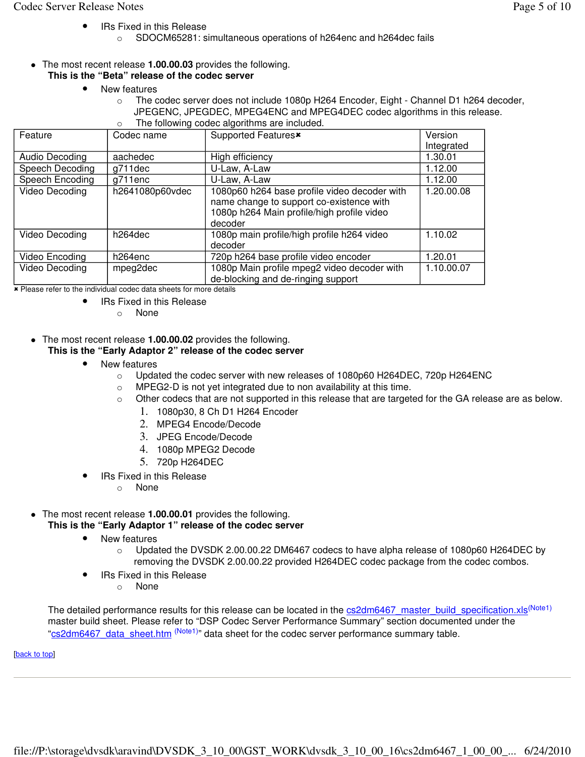- IRs Fixed in this Release
	- o SDOCM65281: simultaneous operations of h264enc and h264dec fails
- The most recent release **1.00.00.03** provides the following. **This is the "Beta" release of the codec server** 
	- New features
		- $\circ$  The codec server does not include 1080p H264 Encoder, Eight Channel D1 h264 decoder, JPEGENC, JPEGDEC, MPEG4ENC and MPEG4DEC codec algorithms in this release. The following codec algorithms are included.

| The following codec algorithms are included. |                      |                                              |            |  |
|----------------------------------------------|----------------------|----------------------------------------------|------------|--|
| Feature                                      | Codec name           | Supported Features <sup>*</sup>              | Version    |  |
|                                              |                      |                                              | Integrated |  |
|                                              |                      |                                              |            |  |
| Audio Decoding                               | aachedec             | High efficiency                              | 1.30.01    |  |
| Speech Decoding                              | g711dec              | U-Law, A-Law                                 | 1.12.00    |  |
| Speech Encoding                              | g711enc              | U-Law, A-Law                                 | 1.12.00    |  |
| Video Decoding                               | h2641080p60vdec      | 1080p60 h264 base profile video decoder with | 1.20.00.08 |  |
|                                              |                      | name change to support co-existence with     |            |  |
|                                              |                      | 1080p h264 Main profile/high profile video   |            |  |
|                                              |                      |                                              |            |  |
|                                              |                      | decoder                                      |            |  |
| Video Decoding                               | h <sub>264</sub> dec | 1080p main profile/high profile h264 video   | 1.10.02    |  |
|                                              |                      | decoder                                      |            |  |
| Video Encoding                               | h264enc              | 720p h264 base profile video encoder         | 1.20.01    |  |
| Video Decoding                               | mpeg2dec             | 1080p Main profile mpeg2 video decoder with  | 1.10.00.07 |  |
|                                              |                      | de-blocking and de-ringing support           |            |  |
|                                              |                      |                                              |            |  |

**\*** Please refer to the individual codec data sheets for more details

- IRs Fixed in this Release
	- o None
- The most recent release **1.00.00.02** provides the following.

#### **This is the "Early Adaptor 2" release of the codec server**

- New features
	- o Updated the codec server with new releases of 1080p60 H264DEC, 720p H264ENC
	- o MPEG2-D is not yet integrated due to non availability at this time.
	- $\circ$  Other codecs that are not supported in this release that are targeted for the GA release are as below.
		- 1. 1080p30, 8 Ch D1 H264 Encoder
		- 2. MPEG4 Encode/Decode
		- 3. JPEG Encode/Decode
		- 4. 1080p MPEG2 Decode
		- 5. 720p H264DEC
- IRs Fixed in this Release
	- o None

# The most recent release **1.00.00.01** provides the following.

### **This is the "Early Adaptor 1" release of the codec server**

- New features
	- $\circ$  Updated the DVSDK 2.00.00.22 DM6467 codecs to have alpha release of 1080p60 H264DEC by removing the DVSDK 2.00.00.22 provided H264DEC codec package from the codec combos.
- IRs Fixed in this Release
	- o None

The detailed performance results for this release can be located in the cs2dm6467\_master\_build\_specification.xls<sup>(Note1)</sup> master build sheet. Please refer to "DSP Codec Server Performance Summary" section documented under the "cs2dm6467 data sheet.htm (Note1)" data sheet for the codec server performance summary table.

[back to top]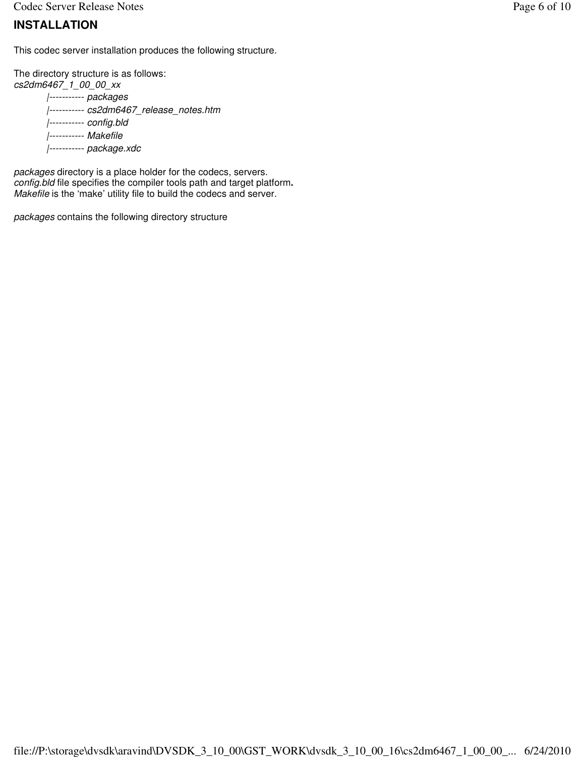Codec Server Release Notes **Page 6 of 10** 

### **INSTALLATION**

This codec server installation produces the following structure.

The directory structure is as follows: cs2dm6467\_1\_00\_00\_xx |----------- packages |----------- cs2dm6467\_release\_notes.htm |----------- config.bld |----------- Makefile |----------- package.xdc

packages directory is a place holder for the codecs, servers. config.bld file specifies the compiler tools path and target platform**.** Makefile is the 'make' utility file to build the codecs and server.

packages contains the following directory structure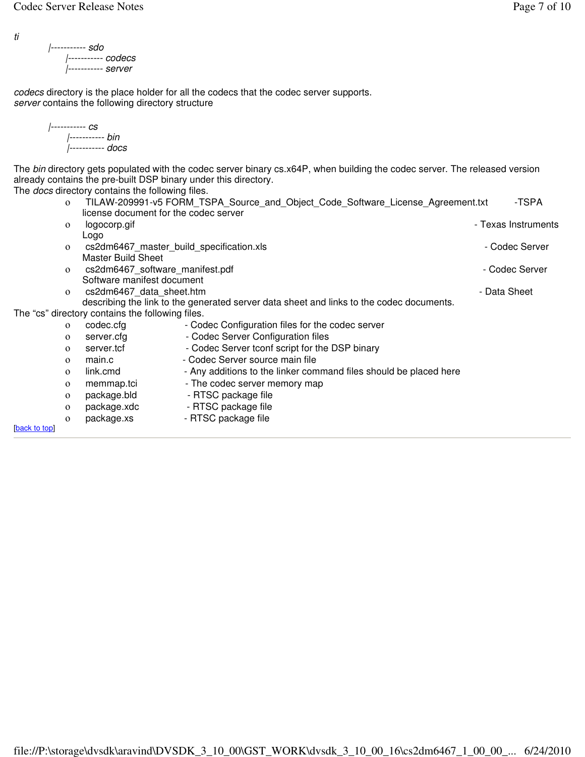ti

```
|----------- sdo
    |----------- codecs
    |----------- server
```
codecs directory is the place holder for all the codecs that the codec server supports. server contains the following directory structure

```
|----------- cs
|----------- bin
|----------- docs
```
The bin directory gets populated with the codec server binary cs.x64P, when building the codec server. The released version already contains the pre-built DSP binary under this directory.

The *docs* directory contains the following files.

| TILAW-209991-v5 FORM TSPA Source and Object Code Software License Agreement.txt | -TSPA |
|---------------------------------------------------------------------------------|-------|
| license document for the codec server                                           |       |
| $\sim$ $\sim$                                                                   |       |

| $\mathbf{O}$ | logocorp.gif                                     |                                                                                          | - Texas Instruments |
|--------------|--------------------------------------------------|------------------------------------------------------------------------------------------|---------------------|
|              | Logo                                             |                                                                                          |                     |
| $\mathbf{O}$ | cs2dm6467 master build specification.xls         |                                                                                          | - Codec Server      |
|              | <b>Master Build Sheet</b>                        |                                                                                          |                     |
| $\mathbf{o}$ | cs2dm6467 software manifest.pdf                  |                                                                                          | - Codec Server      |
|              | Software manifest document                       |                                                                                          |                     |
| $\mathbf{O}$ | cs2dm6467 data sheet.htm                         |                                                                                          | - Data Sheet        |
|              |                                                  | describing the link to the generated server data sheet and links to the codec documents. |                     |
|              | The "cs" directory contains the following files. |                                                                                          |                     |
| $\mathbf{O}$ | codec.cfg                                        | - Codec Configuration files for the codec server                                         |                     |
| $\mathbf{O}$ | server.cfg                                       | - Codec Server Configuration files                                                       |                     |
| $\mathbf{O}$ | server.tcf                                       | - Codec Server tconf script for the DSP binary                                           |                     |
| $\mathbf{O}$ | main.c                                           | - Codec Server source main file                                                          |                     |
| $\mathbf{O}$ | link.cmd                                         | - Any additions to the linker command files should be placed here                        |                     |
| $\mathbf{O}$ | memmap.tci                                       | - The codec server memory map                                                            |                     |
| $\mathbf{o}$ | package.bld                                      | - RTSC package file                                                                      |                     |

- ο package.xdc RTSC package file
- o package.xs RTSC package file

[back to top]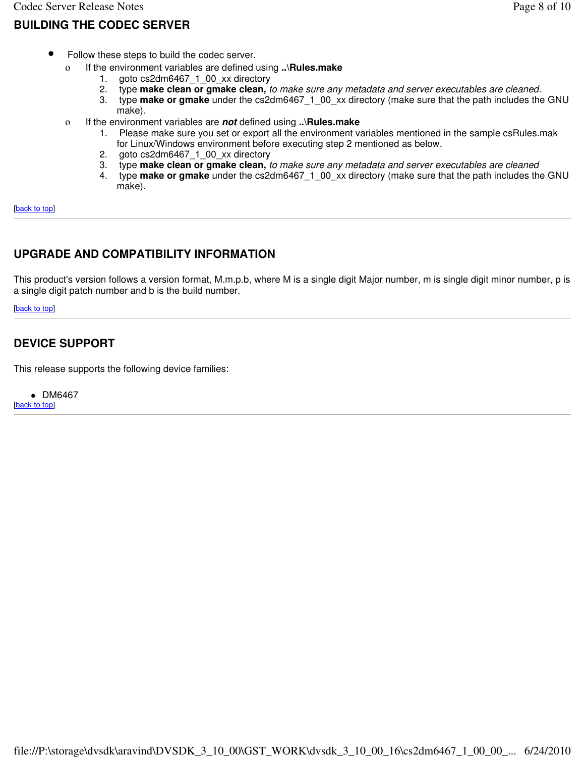- Follow these steps to build the codec server.
	- ο If the environment variables are defined using **..\Rules.make**
		- 1. goto cs2dm6467\_1\_00\_xx directory<br>2. type **make clean or gmake clean,** t
		- 2. type **make clean or gmake clean,** to make sure any metadata and server executables are cleaned.
		- type **make or gmake** under the cs2dm6467\_1\_00\_xx directory (make sure that the path includes the GNU make).
	- ο If the environment variables are **not** defined using **..\Rules.make**
		- 1. Please make sure you set or export all the environment variables mentioned in the sample csRules.mak for Linux/Windows environment before executing step 2 mentioned as below.
		- 2. goto cs2dm6467\_1\_00\_xx directory
		- 3. type **make clean or gmake clean,** to make sure any metadata and server executables are cleaned
		- 4. type **make or gmake** under the cs2dm6467\_1\_00\_xx directory (make sure that the path includes the GNU make).

[back to top]

#### **UPGRADE AND COMPATIBILITY INFORMATION**

This product's version follows a version format, M.m.p.b, where M is a single digit Major number, m is single digit minor number, p is a single digit patch number and b is the build number.

[back to top]

### **DEVICE SUPPORT**

This release supports the following device families:

• DM6467 [back to top]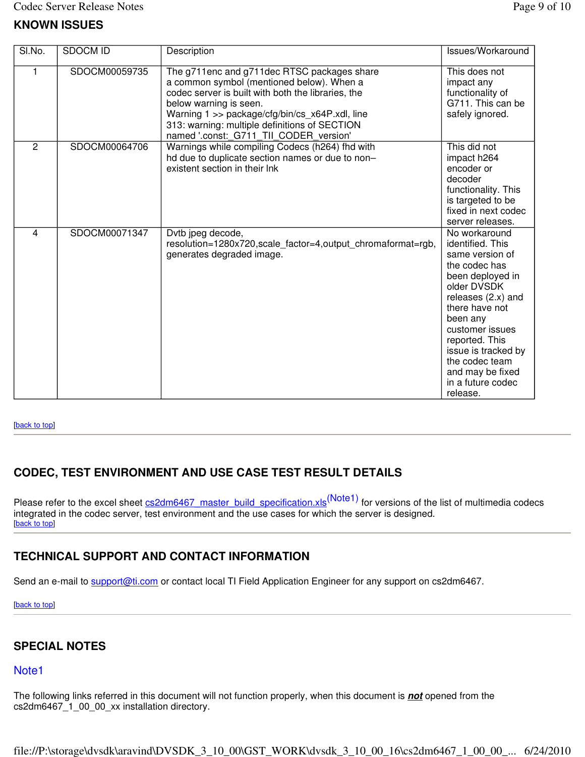| SI.No.         | <b>SDOCM ID</b> | Description                                                                                                                                                                                                                                                                                                           | Issues/Workaround                                                                                                                                                                                                                                                                               |
|----------------|-----------------|-----------------------------------------------------------------------------------------------------------------------------------------------------------------------------------------------------------------------------------------------------------------------------------------------------------------------|-------------------------------------------------------------------------------------------------------------------------------------------------------------------------------------------------------------------------------------------------------------------------------------------------|
|                | SDOCM00059735   | The g711enc and g711dec RTSC packages share<br>a common symbol (mentioned below). When a<br>codec server is built with both the libraries, the<br>below warning is seen.<br>Warning 1 >> package/cfg/bin/cs_x64P.xdl, line<br>313: warning: multiple definitions of SECTION<br>named '.const: G711 TII CODER version' | This does not<br>impact any<br>functionality of<br>G711. This can be<br>safely ignored.                                                                                                                                                                                                         |
| 2              | SDOCM00064706   | Warnings while compiling Codecs (h264) fhd with<br>hd due to duplicate section names or due to non-<br>existent section in their lnk                                                                                                                                                                                  | This did not<br>impact h264<br>encoder or<br>decoder<br>functionality. This<br>is targeted to be<br>fixed in next codec<br>server releases.                                                                                                                                                     |
| $\overline{4}$ | SDOCM00071347   | Dytb jpeg decode,<br>resolution=1280x720, scale_factor=4, output_chromaformat=rgb,<br>generates degraded image.                                                                                                                                                                                                       | No workaround<br>identified. This<br>same version of<br>the codec has<br>been deployed in<br>older DVSDK<br>releases (2.x) and<br>there have not<br>been any<br>customer issues<br>reported. This<br>issue is tracked by<br>the codec team<br>and may be fixed<br>in a future codec<br>release. |

#### [back to top]

# **CODEC, TEST ENVIRONMENT AND USE CASE TEST RESULT DETAILS**

Please refer to the excel sheet cs2dm6467\_master\_build\_specification.xls<sup>(Note1)</sup> for versions of the list of multimedia codecs integrated in the codec server, test environment and the use cases for which the server is designed. [back to top]

#### **TECHNICAL SUPPORT AND CONTACT INFORMATION**

Send an e-mail to support@ti.com or contact local TI Field Application Engineer for any support on cs2dm6467.

[back to top]

#### **SPECIAL NOTES**

#### Note1

The following links referred in this document will not function properly, when this document is **not** opened from the cs2dm6467\_1\_00\_00\_xx installation directory.